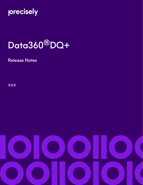

# Data360®DQ+

Release Notes

8.0.0

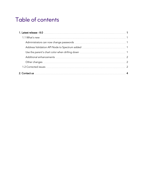## Table of contents

| 2. Contact us <b>Material Contact</b> US 2. Contact us <b>Material Contact US 2. Contact us 2.</b> |  |
|----------------------------------------------------------------------------------------------------|--|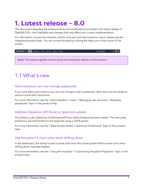# <span id="page-2-0"></span>**1. Latest release - 8.0**

This document describes the enhancements and modifications included in the latest release of Data360 DQ+, and highlights any changes that may affect your current implementation.

For information on previous releases, and for end user and administration topics, please see the integrated product help. You can access the help by clicking the Help icon in the corner of the screen:



### <span id="page-2-1"></span>1.1 What's new

#### <span id="page-2-2"></span>Administrators can now change passwords

If you have admin permissions, you can now change a user's password, rather than just the ability to send an email with instructions.

For more information, see the "Administration > Users > Managing user accounts > Resetting passwords" topic in the product help.

#### <span id="page-2-3"></span>Address Validation API Node to Spectrum added

The ability to call a Spectrum OnDemand API from within Analysis has been added. The new node performs a call and transforms the response using a JSON parser.

For more information, see the "Data Quality Nodes > Spectrum OnDemand" topic in the product help.

#### <span id="page-2-4"></span>Use the parent's chart color when drilling down

In the dashboard, the ability to start a series color from the current parent field's series color when drilling down, has been added.

For more information, see the "Using the visualizer > Customizing Visualizer Properties" topic in the product help.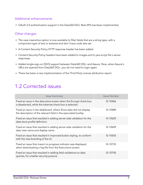#### <span id="page-3-0"></span>Additional enhancements

• OAuth 2.0 authentication support in the Data360 DQ+ Rest APIs has been implemented.

#### <span id="page-3-1"></span>Other changes

- The case insensitive option is now available to filter fields that are a string type, with a component type of text or textarea and don't have code sets set.
- A Content-Security-Policy HTTP response header has been added.
- Content-Security-Policy headers have been added to images and to java script file's server responses.
- Added single-sign-on (SSO) support between Data360 DQ+ and Assure. Now, when Assure's URLs are opened from Data360 DQ+, you do not need to login again.
- There has been a new implementation of the Third Party License attribution report.

### <span id="page-3-2"></span>1.2 Corrected issues

| <b>Issue Summary</b>                                                                                                                 | <b>Issue Number</b> |
|--------------------------------------------------------------------------------------------------------------------------------------|---------------------|
| Fixed an issue in the data store screen when the Encrypt check box<br>is deselected, while the tokenize check box is selected.       | IS-10466            |
| Fixed an issue in the dashboard, where Show data did not display<br>the description of the relevant field in the associated tooltip. | IS-10480            |
| Fixed an issue that resulted in adding server-side validation for the<br>data store profile definition.                              | IS-10625            |
| Fixed an issue that resulted in adding server-side validation for the<br>data view name and display name.                            | IS-10649            |
| Fixed an issue that resulted in improved button styling, to conform<br>with the new branding of the UI.                              | IS-10655            |
| Fixed an issue that meant no progress indicator was displayed,<br>when downloading a log file from the Executions screen.            | IS-10733            |
| Fixed an issue that resulted in adding field validations to data<br>queries, for a better security posture.                          | IS-10745            |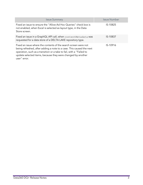| <b>Issue Summary</b>                                                                                                                                                                                                                                                                           | <b>Issue Number</b> |
|------------------------------------------------------------------------------------------------------------------------------------------------------------------------------------------------------------------------------------------------------------------------------------------------|---------------------|
| Fixed an issue to ensure the "Allow Ad Hoc Queries" check box is<br>not enabled, when Excel is selected as layout type, in the Data<br>Store screen.                                                                                                                                           | IS-10825            |
| Fixed an issue in a GraphQL API call, when contentMetadata was<br>requested for a data store of a DELTA LAKE repository type.                                                                                                                                                                  | IS-10837            |
| Fixed an issue where the contents of the search screen were not<br>being refreshed, after adding a note to a case. This caused the next<br>operation, such as a transition or a take to fail, with a "Failed to<br>update selected items, because they were changed by another<br>user" error. | IS-10916            |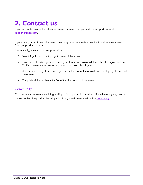# <span id="page-5-0"></span>**2. Contact us**

If you encounter any technical issues, we recommend that you visit the support portal at [support.infogix.com](https://support.infogix.com/hc/en-us).

If your query has not been discussed previously, you can create a new topic and receive answers from our product experts.

Alternatively, you can log a support ticket:

- 1. Select Sign in from the top right corner of the screen.
- 2. If you have already registered, enter your Email and Password, then click the Sign in button. Or, if you are not a registered support portal user, click Sign up.
- 3. Once you have registered and signed in, select Submit a request from the top right corner of the screen.
- 4. Complete all fields, then click Submit at the bottom of the screen.

#### **Community**

Our product is constantly evolving and input from you is highly valued. If you have any suggestions, please contact the product team by submitting a feature request on the **[Community](https://support.infogix.com/hc/en-us/community/topics/360000031707-Data3Sixty-DQ-)**.